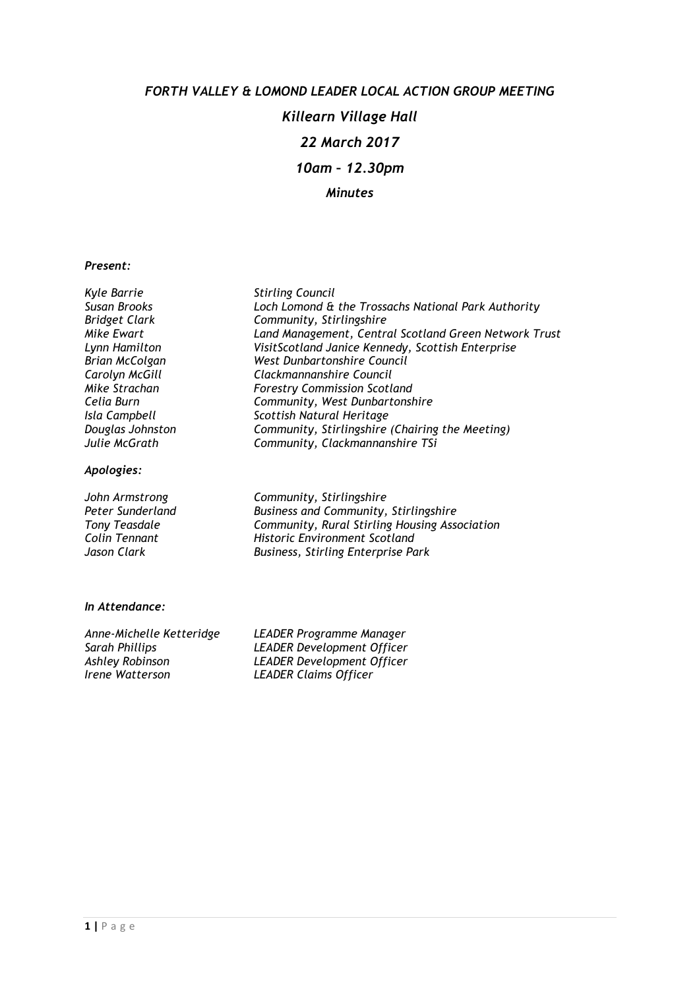# FORTH VALLEY & LOMOND LEADER LOCAL ACTION GROUP MEETING Killearn Village Hall 22 March 2017 10am – 12.30pm Minutes

#### Present:

| Kyle Barrie           | <b>Stirling Council</b>                               |
|-----------------------|-------------------------------------------------------|
| Susan Brooks          | Loch Lomond & the Trossachs National Park Authority   |
| <b>Bridget Clark</b>  | Community, Stirlingshire                              |
| Mike Ewart            | Land Management, Central Scotland Green Network Trust |
| Lynn Hamilton         | VisitScotland Janice Kennedy, Scottish Enterprise     |
| <b>Brian McColgan</b> | West Dunbartonshire Council                           |
| Carolyn McGill        | Clackmannanshire Council                              |
| Mike Strachan         | <b>Forestry Commission Scotland</b>                   |
| Celia Burn            | Community, West Dunbartonshire                        |
| Isla Campbell         | Scottish Natural Heritage                             |
| Douglas Johnston      | Community, Stirlingshire (Chairing the Meeting)       |
| Julie McGrath         | Community, Clackmannanshire TSi                       |
| Apologies:            |                                                       |
| John Armstrong        | Community, Stirlingshire                              |
| Peter Sunderland      | Business and Community, Stirlingshire                 |
| <b>Tony Teasdale</b>  | Community, Rural Stirling Housing Association         |
| Colin Tennant         | <b>Historic Environment Scotland</b>                  |
| Jason Clark           | Business, Stirling Enterprise Park                    |

#### In Attendance:

| Anne-Michelle Ketteridge | LEADER Programme Manager          |
|--------------------------|-----------------------------------|
| Sarah Phillips           | <b>LEADER Development Officer</b> |
| Ashley Robinson          | <b>LEADER Development Officer</b> |
| Irene Watterson          | <b>LEADER Claims Officer</b>      |
|                          |                                   |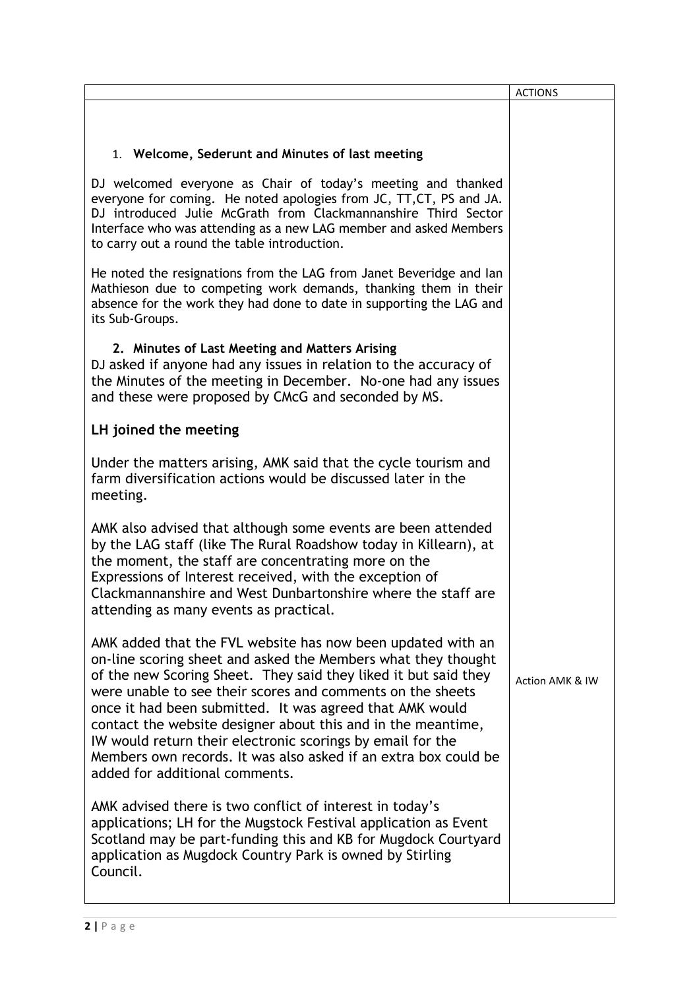|                                                                                                                                                                                                                                                                                                                                                                                                                                                                                                                                                              | <b>ACTIONS</b>  |
|--------------------------------------------------------------------------------------------------------------------------------------------------------------------------------------------------------------------------------------------------------------------------------------------------------------------------------------------------------------------------------------------------------------------------------------------------------------------------------------------------------------------------------------------------------------|-----------------|
|                                                                                                                                                                                                                                                                                                                                                                                                                                                                                                                                                              |                 |
| 1. Welcome, Sederunt and Minutes of last meeting                                                                                                                                                                                                                                                                                                                                                                                                                                                                                                             |                 |
| DJ welcomed everyone as Chair of today's meeting and thanked<br>everyone for coming. He noted apologies from JC, TT, CT, PS and JA.<br>DJ introduced Julie McGrath from Clackmannanshire Third Sector<br>Interface who was attending as a new LAG member and asked Members<br>to carry out a round the table introduction.                                                                                                                                                                                                                                   |                 |
| He noted the resignations from the LAG from Janet Beveridge and lan<br>Mathieson due to competing work demands, thanking them in their<br>absence for the work they had done to date in supporting the LAG and<br>its Sub-Groups.                                                                                                                                                                                                                                                                                                                            |                 |
| 2. Minutes of Last Meeting and Matters Arising<br>DJ asked if anyone had any issues in relation to the accuracy of<br>the Minutes of the meeting in December. No-one had any issues<br>and these were proposed by CMcG and seconded by MS.                                                                                                                                                                                                                                                                                                                   |                 |
| LH joined the meeting                                                                                                                                                                                                                                                                                                                                                                                                                                                                                                                                        |                 |
| Under the matters arising, AMK said that the cycle tourism and<br>farm diversification actions would be discussed later in the<br>meeting.                                                                                                                                                                                                                                                                                                                                                                                                                   |                 |
| AMK also advised that although some events are been attended<br>by the LAG staff (like The Rural Roadshow today in Killearn), at<br>the moment, the staff are concentrating more on the<br>Expressions of Interest received, with the exception of<br>Clackmannanshire and West Dunbartonshire where the staff are<br>attending as many events as practical.                                                                                                                                                                                                 |                 |
| AMK added that the FVL website has now been updated with an<br>on-line scoring sheet and asked the Members what they thought<br>of the new Scoring Sheet. They said they liked it but said they<br>were unable to see their scores and comments on the sheets<br>once it had been submitted. It was agreed that AMK would<br>contact the website designer about this and in the meantime,<br>IW would return their electronic scorings by email for the<br>Members own records. It was also asked if an extra box could be<br>added for additional comments. | Action AMK & IW |
| AMK advised there is two conflict of interest in today's<br>applications; LH for the Mugstock Festival application as Event<br>Scotland may be part-funding this and KB for Mugdock Courtyard<br>application as Mugdock Country Park is owned by Stirling<br>Council.                                                                                                                                                                                                                                                                                        |                 |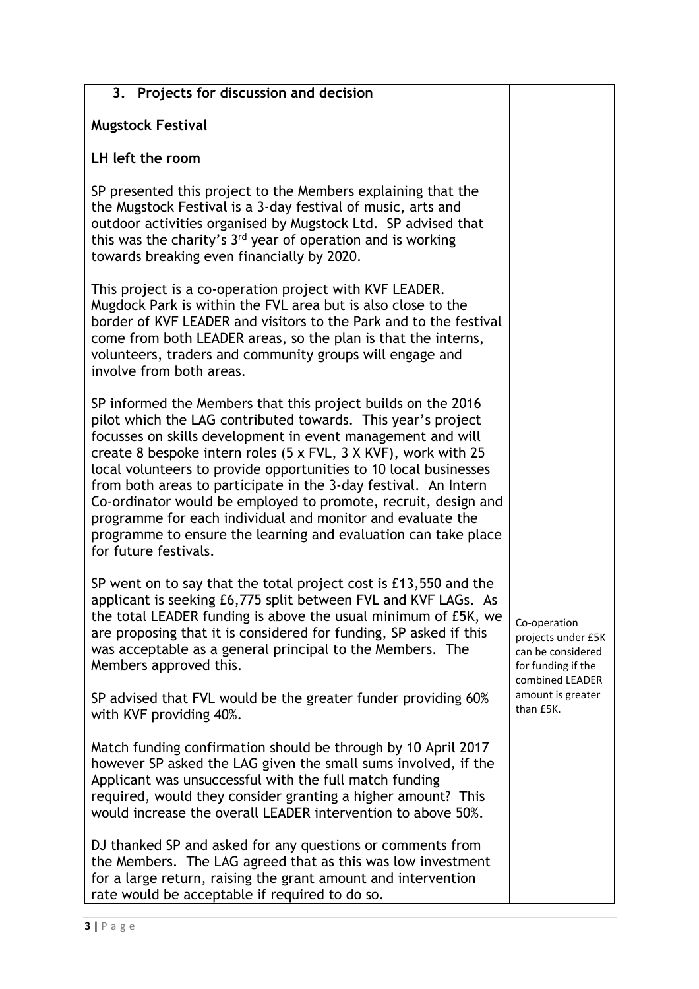| 3. Projects for discussion and decision                                                                                                                                                                                                                                                                                                                                                                                                                                                                                                                                                                                         |                                                                                                  |
|---------------------------------------------------------------------------------------------------------------------------------------------------------------------------------------------------------------------------------------------------------------------------------------------------------------------------------------------------------------------------------------------------------------------------------------------------------------------------------------------------------------------------------------------------------------------------------------------------------------------------------|--------------------------------------------------------------------------------------------------|
| <b>Mugstock Festival</b>                                                                                                                                                                                                                                                                                                                                                                                                                                                                                                                                                                                                        |                                                                                                  |
| LH left the room                                                                                                                                                                                                                                                                                                                                                                                                                                                                                                                                                                                                                |                                                                                                  |
| SP presented this project to the Members explaining that the<br>the Mugstock Festival is a 3-day festival of music, arts and<br>outdoor activities organised by Mugstock Ltd. SP advised that<br>this was the charity's 3 <sup>rd</sup> year of operation and is working<br>towards breaking even financially by 2020.                                                                                                                                                                                                                                                                                                          |                                                                                                  |
| This project is a co-operation project with KVF LEADER.<br>Mugdock Park is within the FVL area but is also close to the<br>border of KVF LEADER and visitors to the Park and to the festival<br>come from both LEADER areas, so the plan is that the interns,<br>volunteers, traders and community groups will engage and<br>involve from both areas.                                                                                                                                                                                                                                                                           |                                                                                                  |
| SP informed the Members that this project builds on the 2016<br>pilot which the LAG contributed towards. This year's project<br>focusses on skills development in event management and will<br>create 8 bespoke intern roles (5 x FVL, 3 X KVF), work with 25<br>local volunteers to provide opportunities to 10 local businesses<br>from both areas to participate in the 3-day festival. An Intern<br>Co-ordinator would be employed to promote, recruit, design and<br>programme for each individual and monitor and evaluate the<br>programme to ensure the learning and evaluation can take place<br>for future festivals. |                                                                                                  |
| SP went on to say that the total project cost is £13,550 and the<br>applicant is seeking £6,775 split between FVL and KVF LAGs. As<br>the total LEADER funding is above the usual minimum of £5K, we<br>are proposing that it is considered for funding, SP asked if this<br>was acceptable as a general principal to the Members. The<br>Members approved this.                                                                                                                                                                                                                                                                | Co-operation<br>projects under £5K<br>can be considered<br>for funding if the<br>combined LEADER |
| SP advised that FVL would be the greater funder providing 60%<br>with KVF providing 40%.                                                                                                                                                                                                                                                                                                                                                                                                                                                                                                                                        | amount is greater<br>than £5K.                                                                   |
| Match funding confirmation should be through by 10 April 2017<br>however SP asked the LAG given the small sums involved, if the<br>Applicant was unsuccessful with the full match funding<br>required, would they consider granting a higher amount? This<br>would increase the overall LEADER intervention to above 50%.                                                                                                                                                                                                                                                                                                       |                                                                                                  |
| DJ thanked SP and asked for any questions or comments from<br>the Members. The LAG agreed that as this was low investment                                                                                                                                                                                                                                                                                                                                                                                                                                                                                                       |                                                                                                  |

for a large return, raising the grant amount and intervention

rate would be acceptable if required to do so.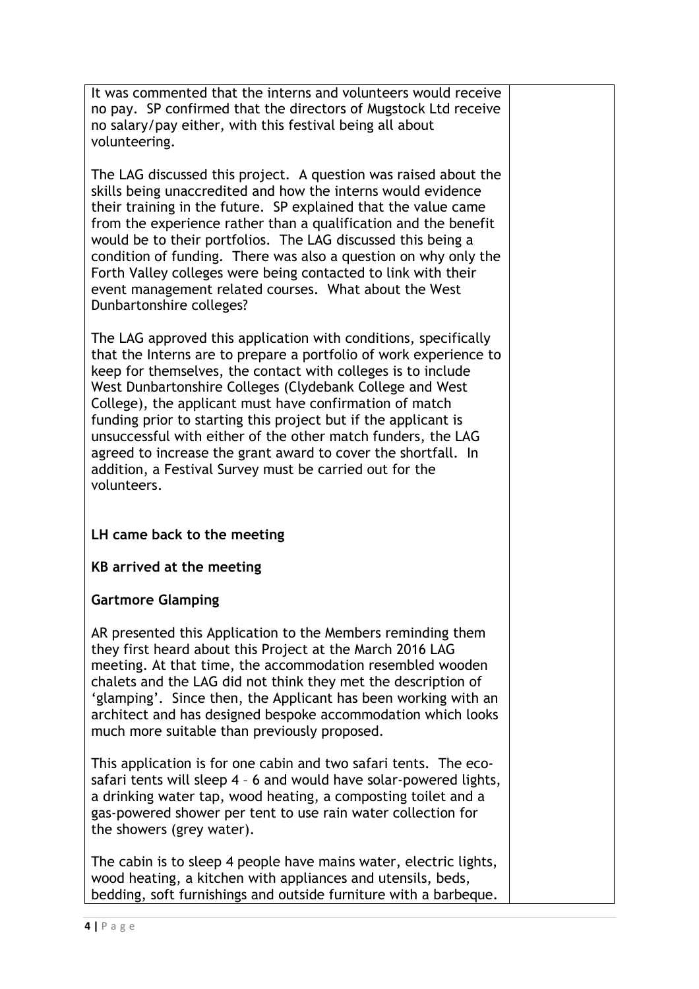It was commented that the interns and volunteers would receive no pay. SP confirmed that the directors of Mugstock Ltd receive no salary/pay either, with this festival being all about volunteering.

The LAG discussed this project. A question was raised about the skills being unaccredited and how the interns would evidence their training in the future. SP explained that the value came from the experience rather than a qualification and the benefit would be to their portfolios. The LAG discussed this being a condition of funding. There was also a question on why only the Forth Valley colleges were being contacted to link with their event management related courses. What about the West Dunbartonshire colleges?

The LAG approved this application with conditions, specifically that the Interns are to prepare a portfolio of work experience to keep for themselves, the contact with colleges is to include West Dunbartonshire Colleges (Clydebank College and West College), the applicant must have confirmation of match funding prior to starting this project but if the applicant is unsuccessful with either of the other match funders, the LAG agreed to increase the grant award to cover the shortfall. In addition, a Festival Survey must be carried out for the volunteers.

### LH came back to the meeting

### KB arrived at the meeting

### Gartmore Glamping

AR presented this Application to the Members reminding them they first heard about this Project at the March 2016 LAG meeting. At that time, the accommodation resembled wooden chalets and the LAG did not think they met the description of 'glamping'. Since then, the Applicant has been working with an architect and has designed bespoke accommodation which looks much more suitable than previously proposed.

This application is for one cabin and two safari tents. The ecosafari tents will sleep 4 – 6 and would have solar-powered lights, a drinking water tap, wood heating, a composting toilet and a gas-powered shower per tent to use rain water collection for the showers (grey water).

The cabin is to sleep 4 people have mains water, electric lights, wood heating, a kitchen with appliances and utensils, beds, bedding, soft furnishings and outside furniture with a barbeque.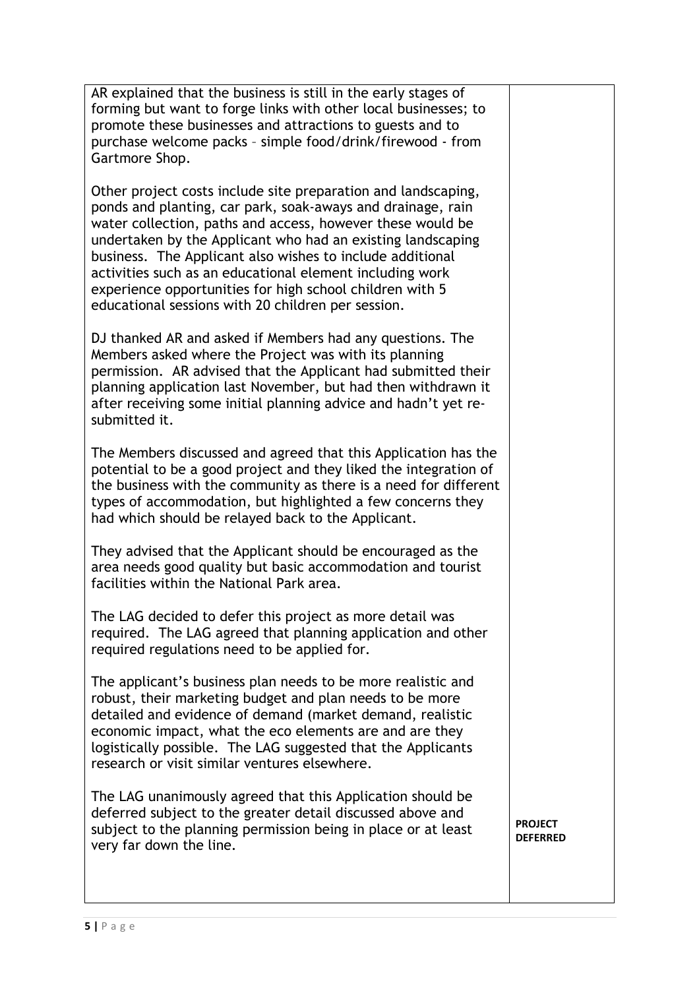AR explained that the business is still in the early stages of forming but want to forge links with other local businesses; to promote these businesses and attractions to guests and to purchase welcome packs – simple food/drink/firewood - from Gartmore Shop.

Other project costs include site preparation and landscaping, ponds and planting, car park, soak-aways and drainage, rain water collection, paths and access, however these would be undertaken by the Applicant who had an existing landscaping business. The Applicant also wishes to include additional activities such as an educational element including work experience opportunities for high school children with 5 educational sessions with 20 children per session.

DJ thanked AR and asked if Members had any questions. The Members asked where the Project was with its planning permission. AR advised that the Applicant had submitted their planning application last November, but had then withdrawn it after receiving some initial planning advice and hadn't yet resubmitted it.

The Members discussed and agreed that this Application has the potential to be a good project and they liked the integration of the business with the community as there is a need for different types of accommodation, but highlighted a few concerns they had which should be relayed back to the Applicant.

They advised that the Applicant should be encouraged as the area needs good quality but basic accommodation and tourist facilities within the National Park area.

The LAG decided to defer this project as more detail was required. The LAG agreed that planning application and other required regulations need to be applied for.

The applicant's business plan needs to be more realistic and robust, their marketing budget and plan needs to be more detailed and evidence of demand (market demand, realistic economic impact, what the eco elements are and are they logistically possible. The LAG suggested that the Applicants research or visit similar ventures elsewhere.

The LAG unanimously agreed that this Application should be deferred subject to the greater detail discussed above and subject to the planning permission being in place or at least very far down the line.

PROJECT DEFERRED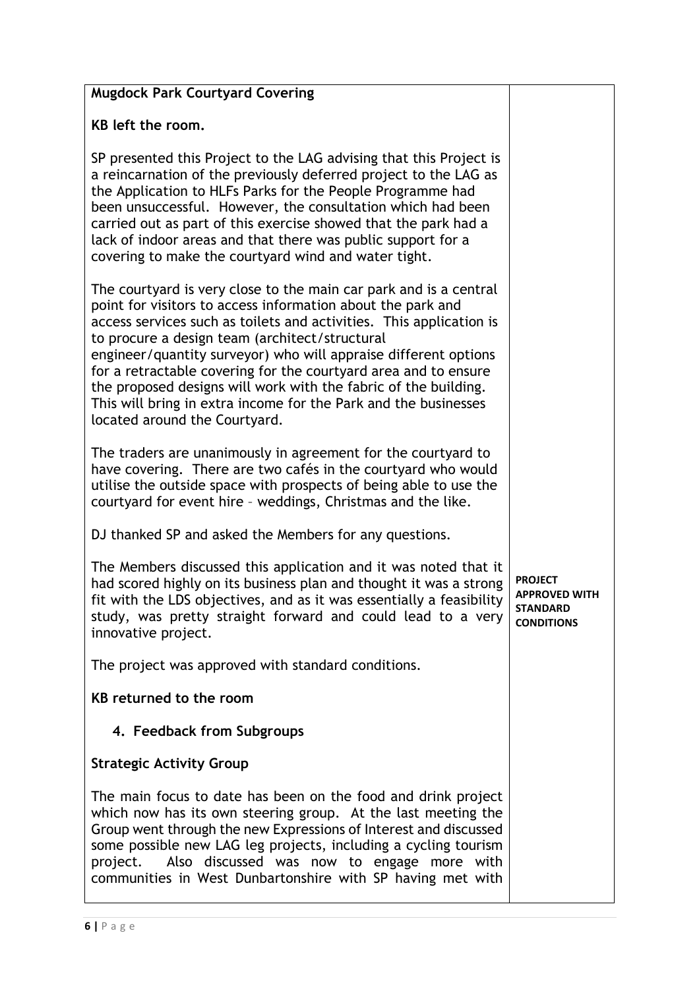| <b>Mugdock Park Courtyard Covering</b>                                                                                                                                                                                                                                                                                                                                                                                                                                                                                                                                 |                                                                                |
|------------------------------------------------------------------------------------------------------------------------------------------------------------------------------------------------------------------------------------------------------------------------------------------------------------------------------------------------------------------------------------------------------------------------------------------------------------------------------------------------------------------------------------------------------------------------|--------------------------------------------------------------------------------|
| KB left the room.                                                                                                                                                                                                                                                                                                                                                                                                                                                                                                                                                      |                                                                                |
| SP presented this Project to the LAG advising that this Project is<br>a reincarnation of the previously deferred project to the LAG as<br>the Application to HLFs Parks for the People Programme had<br>been unsuccessful. However, the consultation which had been<br>carried out as part of this exercise showed that the park had a<br>lack of indoor areas and that there was public support for a<br>covering to make the courtyard wind and water tight.                                                                                                         |                                                                                |
| The courtyard is very close to the main car park and is a central<br>point for visitors to access information about the park and<br>access services such as toilets and activities. This application is<br>to procure a design team (architect/structural<br>engineer/quantity surveyor) who will appraise different options<br>for a retractable covering for the courtyard area and to ensure<br>the proposed designs will work with the fabric of the building.<br>This will bring in extra income for the Park and the businesses<br>located around the Courtyard. |                                                                                |
| The traders are unanimously in agreement for the courtyard to<br>have covering. There are two cafés in the courtyard who would<br>utilise the outside space with prospects of being able to use the<br>courtyard for event hire - weddings, Christmas and the like.                                                                                                                                                                                                                                                                                                    |                                                                                |
| DJ thanked SP and asked the Members for any questions.                                                                                                                                                                                                                                                                                                                                                                                                                                                                                                                 |                                                                                |
| The Members discussed this application and it was noted that it<br>had scored highly on its business plan and thought it was a strong<br>fit with the LDS objectives, and as it was essentially a feasibility<br>study, was pretty straight forward and could lead to a very<br>innovative project.                                                                                                                                                                                                                                                                    | <b>PROJECT</b><br><b>APPROVED WITH</b><br><b>STANDARD</b><br><b>CONDITIONS</b> |
| The project was approved with standard conditions.                                                                                                                                                                                                                                                                                                                                                                                                                                                                                                                     |                                                                                |
| KB returned to the room                                                                                                                                                                                                                                                                                                                                                                                                                                                                                                                                                |                                                                                |
| 4. Feedback from Subgroups                                                                                                                                                                                                                                                                                                                                                                                                                                                                                                                                             |                                                                                |
| <b>Strategic Activity Group</b>                                                                                                                                                                                                                                                                                                                                                                                                                                                                                                                                        |                                                                                |
| The main focus to date has been on the food and drink project<br>which now has its own steering group. At the last meeting the<br>Group went through the new Expressions of Interest and discussed<br>some possible new LAG leg projects, including a cycling tourism<br>project. Also discussed was now to engage more with<br>communities in West Dunbartonshire with SP having met with                                                                                                                                                                             |                                                                                |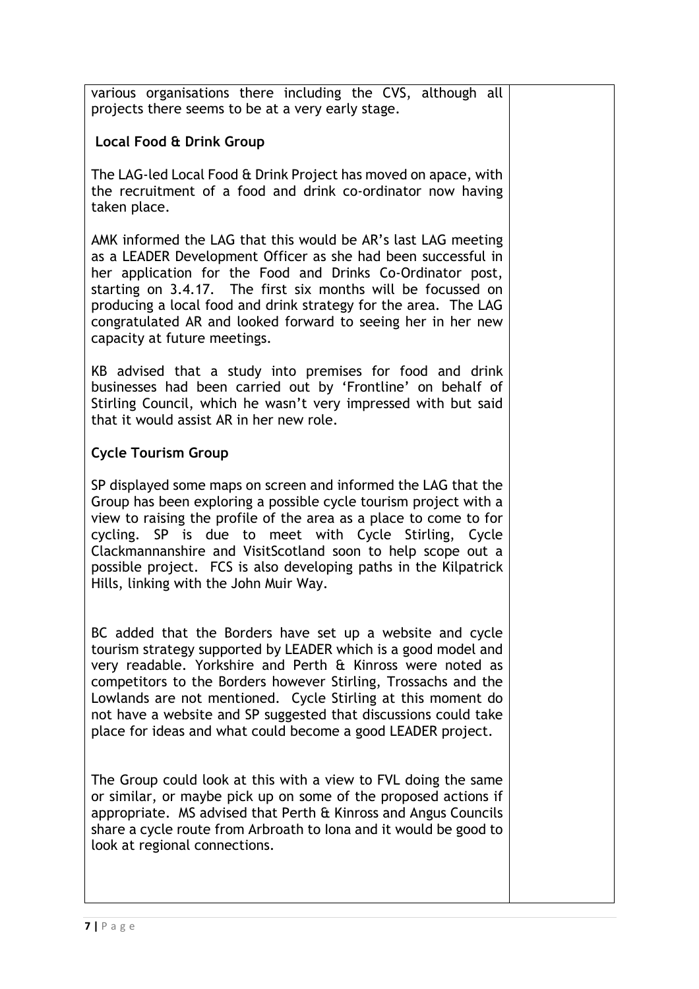various organisations there including the CVS, although all projects there seems to be at a very early stage.

## Local Food & Drink Group

The LAG-led Local Food & Drink Project has moved on apace, with the recruitment of a food and drink co-ordinator now having taken place.

AMK informed the LAG that this would be AR's last LAG meeting as a LEADER Development Officer as she had been successful in her application for the Food and Drinks Co-Ordinator post, starting on 3.4.17. The first six months will be focussed on producing a local food and drink strategy for the area. The LAG congratulated AR and looked forward to seeing her in her new capacity at future meetings.

KB advised that a study into premises for food and drink businesses had been carried out by 'Frontline' on behalf of Stirling Council, which he wasn't very impressed with but said that it would assist AR in her new role.

### Cycle Tourism Group

SP displayed some maps on screen and informed the LAG that the Group has been exploring a possible cycle tourism project with a view to raising the profile of the area as a place to come to for cycling. SP is due to meet with Cycle Stirling, Cycle Clackmannanshire and VisitScotland soon to help scope out a possible project. FCS is also developing paths in the Kilpatrick Hills, linking with the John Muir Way.

BC added that the Borders have set up a website and cycle tourism strategy supported by LEADER which is a good model and very readable. Yorkshire and Perth & Kinross were noted as competitors to the Borders however Stirling, Trossachs and the Lowlands are not mentioned. Cycle Stirling at this moment do not have a website and SP suggested that discussions could take place for ideas and what could become a good LEADER project.

The Group could look at this with a view to FVL doing the same or similar, or maybe pick up on some of the proposed actions if appropriate. MS advised that Perth & Kinross and Angus Councils share a cycle route from Arbroath to Iona and it would be good to look at regional connections.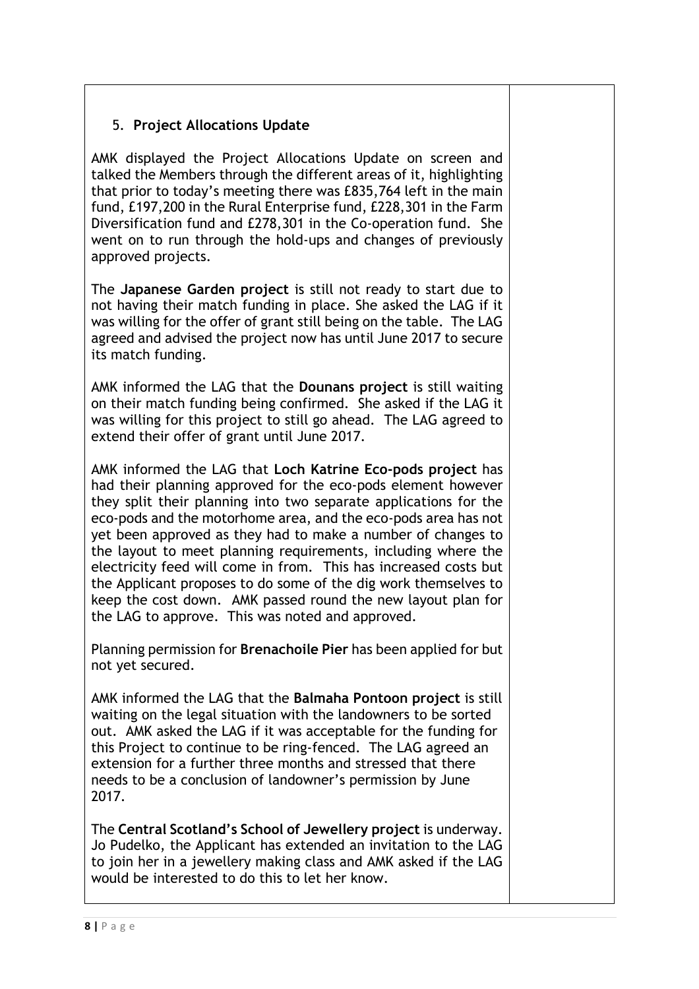# 5. Project Allocations Update

AMK displayed the Project Allocations Update on screen and talked the Members through the different areas of it, highlighting that prior to today's meeting there was £835,764 left in the main fund, £197,200 in the Rural Enterprise fund, £228,301 in the Farm Diversification fund and £278,301 in the Co-operation fund. She went on to run through the hold-ups and changes of previously approved projects.

The Japanese Garden project is still not ready to start due to not having their match funding in place. She asked the LAG if it was willing for the offer of grant still being on the table. The LAG agreed and advised the project now has until June 2017 to secure its match funding.

AMK informed the LAG that the Dounans project is still waiting on their match funding being confirmed. She asked if the LAG it was willing for this project to still go ahead. The LAG agreed to extend their offer of grant until June 2017.

AMK informed the LAG that Loch Katrine Eco-pods project has had their planning approved for the eco-pods element however they split their planning into two separate applications for the eco-pods and the motorhome area, and the eco-pods area has not yet been approved as they had to make a number of changes to the layout to meet planning requirements, including where the electricity feed will come in from. This has increased costs but the Applicant proposes to do some of the dig work themselves to keep the cost down. AMK passed round the new layout plan for the LAG to approve. This was noted and approved.

Planning permission for Brenachoile Pier has been applied for but not yet secured.

AMK informed the LAG that the Balmaha Pontoon project is still waiting on the legal situation with the landowners to be sorted out. AMK asked the LAG if it was acceptable for the funding for this Project to continue to be ring-fenced. The LAG agreed an extension for a further three months and stressed that there needs to be a conclusion of landowner's permission by June 2017.

The Central Scotland's School of Jewellery project is underway. Jo Pudelko, the Applicant has extended an invitation to the LAG to join her in a jewellery making class and AMK asked if the LAG would be interested to do this to let her know.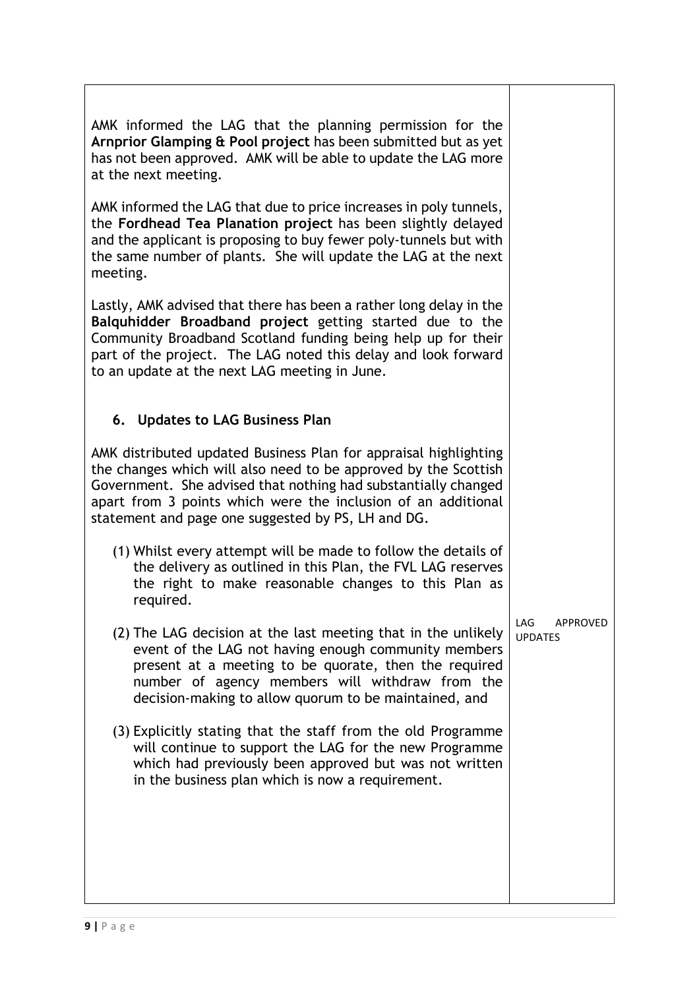| AMK informed the LAG that the planning permission for the<br>Arnprior Glamping & Pool project has been submitted but as yet<br>has not been approved. AMK will be able to update the LAG more<br>at the next meeting.                                                                                                        |                                          |
|------------------------------------------------------------------------------------------------------------------------------------------------------------------------------------------------------------------------------------------------------------------------------------------------------------------------------|------------------------------------------|
| AMK informed the LAG that due to price increases in poly tunnels,<br>the Fordhead Tea Planation project has been slightly delayed<br>and the applicant is proposing to buy fewer poly-tunnels but with<br>the same number of plants. She will update the LAG at the next<br>meeting.                                         |                                          |
| Lastly, AMK advised that there has been a rather long delay in the<br>Balquhidder Broadband project getting started due to the<br>Community Broadband Scotland funding being help up for their<br>part of the project. The LAG noted this delay and look forward<br>to an update at the next LAG meeting in June.            |                                          |
| 6. Updates to LAG Business Plan                                                                                                                                                                                                                                                                                              |                                          |
| AMK distributed updated Business Plan for appraisal highlighting<br>the changes which will also need to be approved by the Scottish<br>Government. She advised that nothing had substantially changed<br>apart from 3 points which were the inclusion of an additional<br>statement and page one suggested by PS, LH and DG. |                                          |
| (1) Whilst every attempt will be made to follow the details of<br>the delivery as outlined in this Plan, the FVL LAG reserves<br>the right to make reasonable changes to this Plan as<br>required.                                                                                                                           |                                          |
| (2) The LAG decision at the last meeting that in the unlikely<br>event of the LAG not having enough community members<br>present at a meeting to be quorate, then the required<br>number of agency members will withdraw from the<br>decision-making to allow quorum to be maintained, and                                   | LAG<br><b>APPROVED</b><br><b>UPDATES</b> |
| (3) Explicitly stating that the staff from the old Programme<br>will continue to support the LAG for the new Programme<br>which had previously been approved but was not written<br>in the business plan which is now a requirement.                                                                                         |                                          |
|                                                                                                                                                                                                                                                                                                                              |                                          |
|                                                                                                                                                                                                                                                                                                                              |                                          |

┚

 $\mathbf{I}$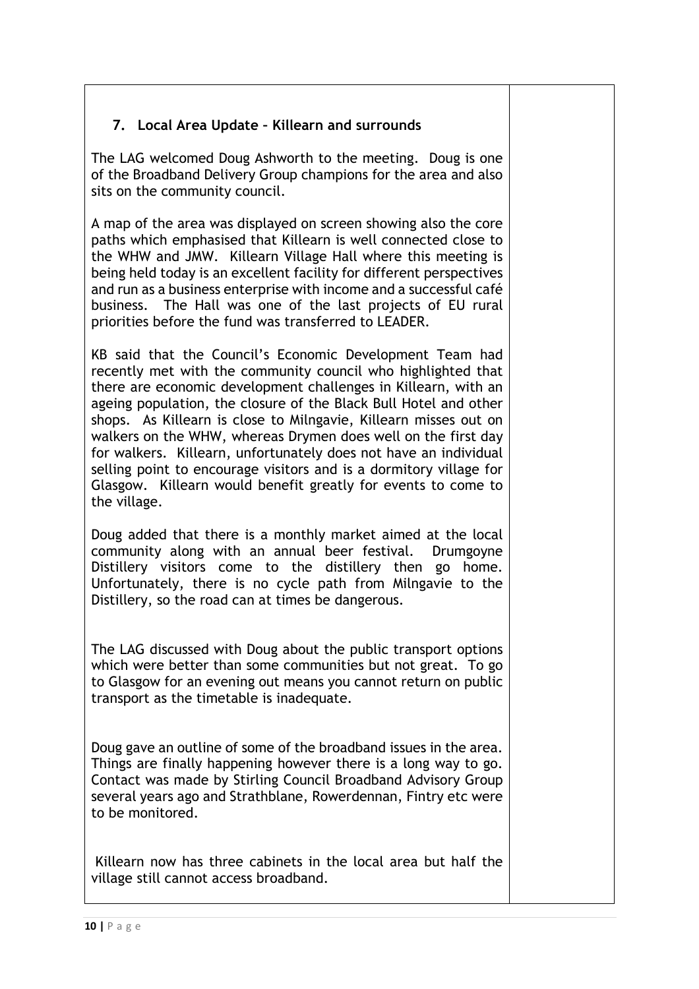# 7. Local Area Update – Killearn and surrounds

The LAG welcomed Doug Ashworth to the meeting. Doug is one of the Broadband Delivery Group champions for the area and also sits on the community council.

A map of the area was displayed on screen showing also the core paths which emphasised that Killearn is well connected close to the WHW and JMW. Killearn Village Hall where this meeting is being held today is an excellent facility for different perspectives and run as a business enterprise with income and a successful café business. The Hall was one of the last projects of EU rural priorities before the fund was transferred to LEADER.

KB said that the Council's Economic Development Team had recently met with the community council who highlighted that there are economic development challenges in Killearn, with an ageing population, the closure of the Black Bull Hotel and other shops. As Killearn is close to Milngavie, Killearn misses out on walkers on the WHW, whereas Drymen does well on the first day for walkers. Killearn, unfortunately does not have an individual selling point to encourage visitors and is a dormitory village for Glasgow. Killearn would benefit greatly for events to come to the village.

Doug added that there is a monthly market aimed at the local community along with an annual beer festival. Drumgoyne Distillery visitors come to the distillery then go home. Unfortunately, there is no cycle path from Milngavie to the Distillery, so the road can at times be dangerous.

The LAG discussed with Doug about the public transport options which were better than some communities but not great. To go to Glasgow for an evening out means you cannot return on public transport as the timetable is inadequate.

Doug gave an outline of some of the broadband issues in the area. Things are finally happening however there is a long way to go. Contact was made by Stirling Council Broadband Advisory Group several years ago and Strathblane, Rowerdennan, Fintry etc were to be monitored.

 Killearn now has three cabinets in the local area but half the village still cannot access broadband.